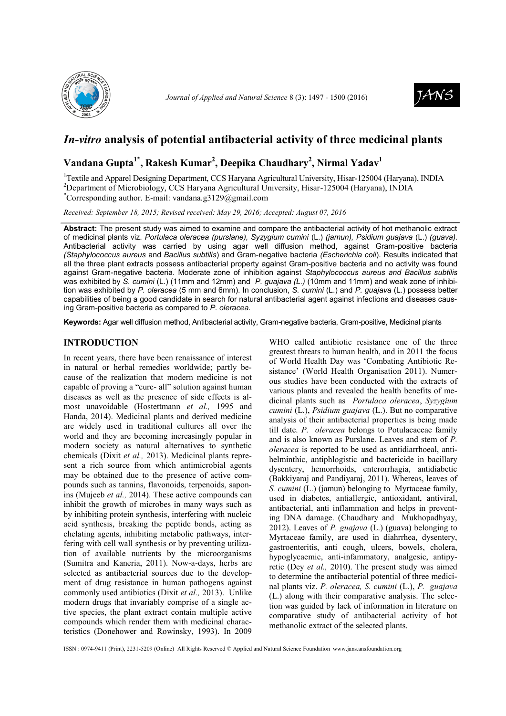



# *In-vitro* **analysis of potential antibacterial activity of three medicinal plants**

## **Vandana Gupta1\*, Rakesh Kumar<sup>2</sup> , Deepika Chaudhary<sup>2</sup> , Nirmal Yadav<sup>1</sup>**

<sup>1</sup>Textile and Apparel Designing Department, CCS Haryana Agricultural University, Hisar-125004 (Haryana), INDIA <sup>2</sup>Department of Microbiology, CCS Haryana Agricultural University, Hisar-125004 (Haryana), INDIA  ${}^*$ Corresponding author. E-mail: [vandana.g3129@gmail.com](mailto:vandana.g3129@gmail.com)

*Received: September 18, 2015; Revised received: May 29, 2016; Accepted: August 07, 2016*

**Abstract:** The present study was aimed to examine and compare the antibacterial activity of hot methanolic extract of medicinal plants viz. *Portulaca oleracea (purslane), Syzygium cumini* (L.) *(jamun), Psidium guajava* (L.) *(guava).* Antibacterial activity was carried by using agar well diffusion method, against Gram-positive bacteria *(Staphylococcus aureus* and *Bacillus subtilis*) and Gram-negative bacteria *(Escherichia coli*). Results indicated that all the three plant extracts possess antibacterial property against Gram-positive bacteria and no activity was found against Gram-negative bacteria. Moderate zone of inhibition against *Staphylococcus aureus and Bacillus subtilis* was exhibited by *S. cumini* (L.) (11mm and 12mm) and *P. guajava (L.)* (10mm and 11mm) and weak zone of inhibition was exhibited by *P. oleracea* (5 mm and 6mm). In conclusion, *S. cumini* (L.) and *P. guajava* (L.) possess better capabilities of being a good candidate in search for natural antibacterial agent against infections and diseases causing Gram-positive bacteria as compared to *P. oleracea.*

**Keywords:** Agar well diffusion method, Antibacterial activity, Gram-negative bacteria, Gram-positive, Medicinal plants

### **INTRODUCTION**

In recent years, there have been renaissance of interest in natural or herbal remedies worldwide; partly because of the realization that modern medicine is not capable of proving a "cure- all" solution against human diseases as well as the presence of side effects is almost unavoidable (Hostettmann *et al.,* 1995 and Handa, 2014). Medicinal plants and derived medicine are widely used in traditional cultures all over the world and they are becoming increasingly popular in modern society as natural alternatives to synthetic chemicals (Dixit *et al.,* 2013). Medicinal plants represent a rich source from which antimicrobial agents may be obtained due to the presence of active compounds such as tannins, flavonoids, terpenoids, saponins (Mujeeb *et al.,* 2014). These active compounds can inhibit the growth of microbes in many ways such as by inhibiting protein synthesis, interfering with nucleic acid synthesis, breaking the peptide bonds, acting as chelating agents, inhibiting metabolic pathways, interfering with cell wall synthesis or by preventing utilization of available nutrients by the microorganisms (Sumitra and Kaneria, 2011). Now-a-days, herbs are selected as antibacterial sources due to the development of drug resistance in human pathogens against commonly used antibiotics (Dixit *et al.,* 2013). Unlike modern drugs that invariably comprise of a single active species, the plant extract contain multiple active compounds which render them with medicinal characteristics (Donehower and Rowinsky, 1993). In 2009

WHO called antibiotic resistance one of the three greatest threats to human health, and in 2011 the focus of World Health Day was 'Combating Antibiotic Resistance' (World Health Organisation 2011). Numerous studies have been conducted with the extracts of various plants and revealed the health benefits of medicinal plants such as *Portulaca oleracea*, *Syzygium cumini* (L.), *Psidium guajava* (L.). But no comparative analysis of their antibacterial properties is being made till date. *P. oleracea* belongs to Potulacaceae family and is also known as Purslane. Leaves and stem of *P. oleracea* is reported to be used as antidiarrhoeal, antihelminthic, antiphlogistic and bactericide in bacillary dysentery, hemorrhoids, enterorrhagia, antidiabetic (Bakkiyaraj and Pandiyaraj, 2011). Whereas, leaves of *S. cumini* (L.) (jamun) belonging to Myrtaceae family, used in diabetes, antiallergic, antioxidant, antiviral, antibacterial, anti inflammation and helps in preventing DNA damage. (Chaudhary and Mukhopadhyay, 2012). Leaves of *P. guajava* (L.) (guava) belonging to Myrtaceae family, are used in diahrrhea, dysentery, gastroenteritis, anti cough, ulcers, bowels, cholera, hypoglycaemic, anti-infammatory, analgesic, antipyretic (Dey *et al.,* 2010). The present study was aimed to determine the antibacterial potential of three medicinal plants viz. *P. oleracea, S. cumini* (L.), *P. guajava*  (L.) along with their comparative analysis. The selection was guided by lack of information in literature on comparative study of antibacterial activity of hot methanolic extract of the selected plants.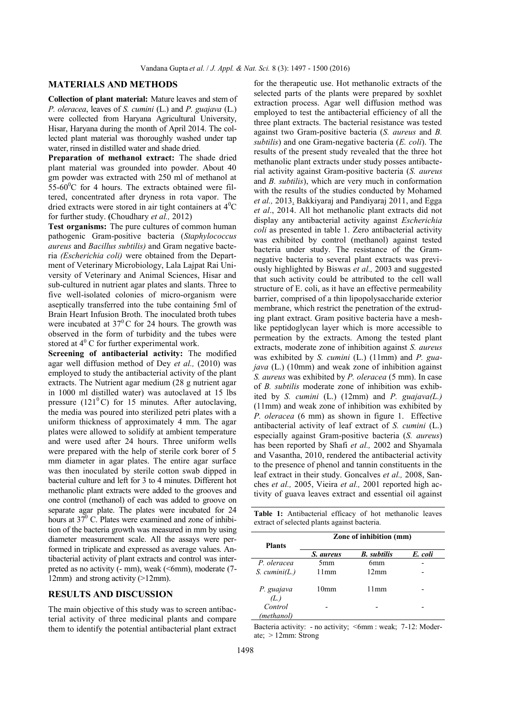### **MATERIALS AND METHODS**

**Collection of plant material:** Mature leaves and stem of *P. oleracea*, leaves of *S. cumini* (L.) and *P. guajava* (L.) were collected from Haryana Agricultural University, Hisar, Haryana during the month of April 2014. The collected plant material was thoroughly washed under tap water, rinsed in distilled water and shade dried.

**Preparation of methanol extract:** The shade dried plant material was grounded into powder. About 40 gm powder was extracted with 250 ml of methanol at 55-60 $^{\circ}$ C for 4 hours. The extracts obtained were filtered, concentrated after dryness in rota vapor. The dried extracts were stored in air tight containers at  $4^{\circ}C$ for further study. **(**Choudhary *et al.,* 2012)

**Test organisms:** The pure cultures of common human pathogenic Gram-positive bacteria (*Staphylococcus aureus* and *Bacillus subtilis)* and Gram negative bacteria *(Escherichia coli)* were obtained from the Department of Veterinary Microbiology, Lala Lajpat Rai University of Veterinary and Animal Sciences, Hisar and sub-cultured in nutrient agar plates and slants. Three to five well-isolated colonies of micro-organism were aseptically transferred into the tube containing 5ml of Brain Heart Infusion Broth. The inoculated broth tubes were incubated at  $37^{\circ}$ C for 24 hours. The growth was observed in the form of turbidity and the tubes were stored at  $4^{\circ}$  C for further experimental work.

**Screening of antibacterial activity:** The modified agar well diffusion method of Dey *et al.,* (2010) was employed to study the antibacterial activity of the plant extracts. The Nutrient agar medium (28 g nutrient agar in 1000 ml distilled water) was autoclaved at 15 lbs pressure (121 $^{\circ}$ C) for 15 minutes. After autoclaving, the media was poured into sterilized petri plates with a uniform thickness of approximately 4 mm. The agar plates were allowed to solidify at ambient temperature and were used after 24 hours. Three uniform wells were prepared with the help of sterile cork borer of 5 mm diameter in agar plates. The entire agar surface was then inoculated by sterile cotton swab dipped in bacterial culture and left for 3 to 4 minutes. Different hot methanolic plant extracts were added to the grooves and one control (methanol) of each was added to groove on separate agar plate. The plates were incubated for 24 hours at  $37^{\circ}$  C. Plates were examined and zone of inhibition of the bacteria growth was measured in mm by using diameter measurement scale. All the assays were performed in triplicate and expressed as average values. Antibacterial activity of plant extracts and control was interpreted as no activity (- mm), weak (<6mm), moderate (7-12mm) and strong activity (>12mm).

#### **RESULTS AND DISCUSSION**

The main objective of this study was to screen antibacterial activity of three medicinal plants and compare them to identify the potential antibacterial plant extract for the therapeutic use. Hot methanolic extracts of the selected parts of the plants were prepared by soxhlet extraction process. Agar well diffusion method was employed to test the antibacterial efficiency of all the three plant extracts. The bacterial resistance was tested against two Gram-positive bacteria (*S. aureus* and *B. subtilis*) and one Gram-negative bacteria (*E. coli*). The results of the present study revealed that the three hot methanolic plant extracts under study posses antibacterial activity against Gram-positive bacteria (*S. aureus* and *B. subtilis*), which are very much in conformation with the results of the studies conducted by Mohamed *et al.,* 2013. Bakkiyaraj and Pandiyaraj 2011, and Egga *et al*., 2014. All hot methanolic plant extracts did not display any antibacterial activity against *Escherichia coli* as presented in table 1. Zero antibacterial activity was exhibited by control (methanol) against tested bacteria under study. The resistance of the Gramnegative bacteria to several plant extracts was previously highlighted by Biswas *et al.,* 2003 and suggested that such activity could be attributed to the cell wall structure of E. coli, as it have an effective permeability barrier, comprised of a thin lipopolysaccharide exterior membrane, which restrict the penetration of the extruding plant extract. Gram positive bacteria have a meshlike peptidoglycan layer which is more accessible to permeation by the extracts. Among the tested plant extracts, moderate zone of inhibition against *S. aureus* was exhibited by *S. cumini* (L.) (11mm) and *P. guajava* (L.) (10mm) and weak zone of inhibition against *S. aureus* was exhibited by *P. oleracea* (5 mm). In case of *B. subtilis* moderate zone of inhibition was exhibited by *S. cumini* (L.) (12mm) and *P. guajava(L.)* (11mm) and weak zone of inhibition was exhibited by *P. oleracea* (6 mm) as shown in figure 1. Effective antibacterial activity of leaf extract of *S. cumini* (L.) especially against Gram-positive bacteria (*S. aureus*) has been reported by Shafi *et al.,* 2002 and Shyamala and Vasantha, 2010, rendered the antibacterial activity to the presence of phenol and tannin constituents in the leaf extract in their study. Goncalves *et al.,* 2008, Sanches *et al.,* 2005, Vieira *et al.,* 2001 reported high activity of guava leaves extract and essential oil against

**Table 1:** Antibacterial efficacy of hot methanolic leaves extract of selected plants against bacteria.

| <b>Plants</b>         | Zone of inhibition (mm) |                    |         |
|-----------------------|-------------------------|--------------------|---------|
|                       | S. aureus               | <b>B.</b> subtilis | E. coli |
| P. oleracea           | 5 <sub>mm</sub>         | 6mm                |         |
| $S.$ cumini(L.)       | 11mm                    | $12 \text{mm}$     |         |
| P. guajava<br>(L)     | 10mm                    | 11mm               |         |
| Control<br>(methanol) |                         |                    |         |

Bacteria activity: - no activity; <6mm : weak; 7-12: Moderate; > 12mm: Strong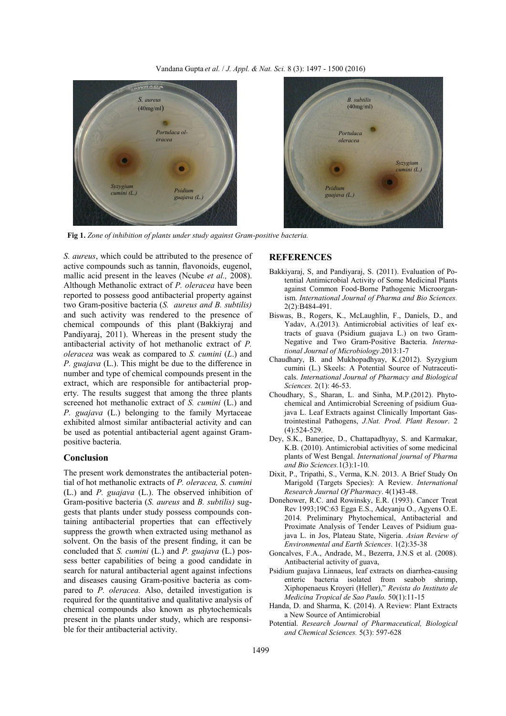

**Fig 1.** *Zone of inhibition of plants under study against Gram-positive bacteria.*

*S. aureus*, which could be attributed to the presence of active compounds such as tannin, flavonoids, eugenol, mallic acid present in the leaves (Ncube *et al.,* 2008). Although Methanolic extract of *P. oleracea* have been reported to possess good antibacterial property against two Gram-positive bacteria (*S. aureus and B. subtilis)* and such activity was rendered to the presence of chemical compounds of this plant (Bakkiyraj and Pandiyaraj, 2011). Whereas in the present study the antibacterial activity of hot methanolic extract of *P. oleracea* was weak as compared to *S. cumini* (*L*.) and *P. guajava* (L.). This might be due to the difference in number and type of chemical compounds present in the extract, which are responsible for antibacterial property. The results suggest that among the three plants screened hot methanolic extract of *S. cumini* (L.) and *P. guajava* (L.) belonging to the family Myrtaceae exhibited almost similar antibacterial activity and can be used as potential antibacterial agent against Grampositive bacteria.

#### **Conclusion**

The present work demonstrates the antibacterial potential of hot methanolic extracts of *P. oleracea, S. cumini*  (L.) and *P. guajava* (L.). The observed inhibition of Gram-positive bacteria (*S. aureus* and *B. subtilis)* suggests that plants under study possess compounds containing antibacterial properties that can effectively suppress the growth when extracted using methanol as solvent. On the basis of the present finding, it can be concluded that *S. cumini* (L.) and *P. guajava* (L.) possess better capabilities of being a good candidate in search for natural antibacterial agent against infections and diseases causing Gram-positive bacteria as compared to *P. oleracea.* Also, detailed investigation is required for the quantitative and qualitative analysis of chemical compounds also known as phytochemicals present in the plants under study, which are responsible for their antibacterial activity.

### **REFERENCES**

- Bakkiyaraj, S, and Pandiyaraj, S. (2011). Evaluation of Potential Antimicrobial Activity of Some Medicinal Plants against Common Food-Borne Pathogenic Microorganism. *International Journal of Pharma and Bio Sciences.* 2(2):B484-491.
- Biswas, B., Rogers, K., McLaughlin, F., Daniels, D., and Yadav, A.(2013). Antimicrobial activities of leaf extracts of guava (Psidium guajava L.) on two Gram-Negative and Two Gram-Positive Bacteria. *International Journal of Microbiology*.2013:1-7
- Chaudhary, B. and Mukhopadhyay, K.(2012). Syzygium cumini (L.) Skeels: A Potential Source of Nutraceuticals. *International Journal of Pharmacy and Biological Sciences.* 2(1): 46-53.
- Choudhary, S., Sharan, L. and Sinha, M.P.(2012). Phytochemical and Antimicrobial Screening of psidium Guajava L. Leaf Extracts against Clinically Important Gastrointestinal Pathogens, *J.Nat. Prod. Plant Resour*. 2 (4):524-529.
- Dey, S.K., Banerjee, D., Chattapadhyay, S. and Karmakar, K.B. (2010). Antimicrobial activities of some medicinal plants of West Bengal. *International journal of Pharma and Bio Sciences.*1(3):1-10*.*
- Dixit, P., Tripathi, S., Verma, K.N. 2013. A Brief Study On Marigold (Targets Species): A Review. *International Research Jaurnal Of Pharmacy*. 4(1)43-48.
- Donehower, R.C. and Rowinsky, E.R. (1993). Cancer Treat Rev 1993;19C:63 Egga E.S., Adeyanju O., Agyens O.E. 2014. Preliminary Phytochemical, Antibacterial and Proximate Analysis of Tender Leaves of Psidium guajava L. in Jos, Plateau State, Nigeria. *Asian Review of Environmental and Earth Sciences*. 1(2):35-38
- Goncalves, F.A., Andrade, M., Bezerra, J.N.S et al. (2008). Antibacterial activity of guava,
- Psidium guajava Linnaeus, leaf extracts on diarrhea-causing enteric bacteria isolated from seabob shrimp, Xiphopenaeus Kroyeri (Heller)," *Revista do Instituto de Medicina Tropical de Sao Paulo.* 50(1):11-15
- Handa, D. and Sharma, K. (2014). A Review: Plant Extracts a New Source of Antimicrobial
- Potential. *Research Journal of Pharmaceutical, Biological and Chemical Sciences.* 5(3): 597-628